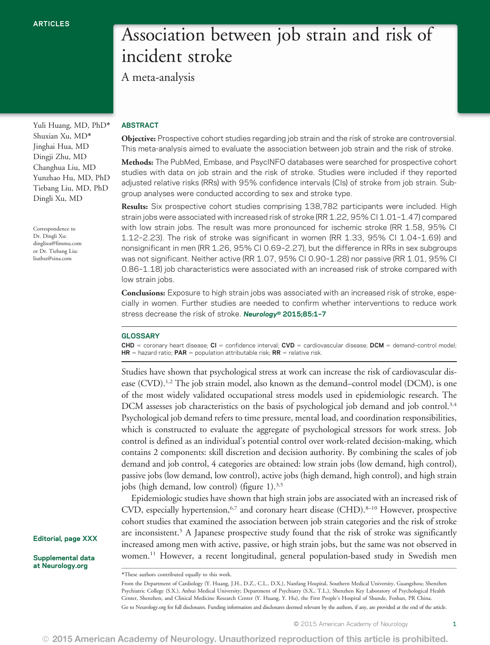Yuli Huang, MD, PhD\* Shuxian Xu, MD\* Jinghai Hua, MD Dingji Zhu, MD Changhua Liu, MD Yunzhao Hu, MD, PhD Tiebang Liu, MD, PhD Dingli Xu, MD

Correspondence to Dr. Dingli Xu: [dinglixu@fimmu.com](mailto:dinglixu@fimmu.com) or Dr. Tiebang Liu: [liutbsz@sina.com](mailto:liutbsz@sina.com)

# Association between job strain and risk of incident stroke

A meta-analysis

## ABSTRACT

Objective: Prospective cohort studies regarding job strain and the risk of stroke are controversial. This meta-analysis aimed to evaluate the association between job strain and the risk of stroke.

Methods: The PubMed, Embase, and PsycINFO databases were searched for prospective cohort studies with data on job strain and the risk of stroke. Studies were included if they reported adjusted relative risks (RRs) with 95% confidence intervals (CIs) of stroke from job strain. Subgroup analyses were conducted according to sex and stroke type.

Results: Six prospective cohort studies comprising 138,782 participants were included. High strain jobs were associated with increased risk of stroke (RR 1.22, 95% CI 1.01–1.47) compared with low strain jobs. The result was more pronounced for ischemic stroke (RR 1.58, 95% CI 1.12–2.23). The risk of stroke was significant in women (RR 1.33, 95% CI 1.04–1.69) and nonsignificant in men (RR 1.26, 95% CI 0.69–2.27), but the difference in RRs in sex subgroups was not significant. Neither active (RR 1.07, 95% CI 0.90–1.28) nor passive (RR 1.01, 95% CI 0.86–1.18) job characteristics were associated with an increased risk of stroke compared with low strain jobs.

Conclusions: Exposure to high strain jobs was associated with an increased risk of stroke, especially in women. Further studies are needed to confirm whether interventions to reduce work stress decrease the risk of stroke. Neurology® 2015;85:1-7

## **GLOSSARY**

 $CHD$  = coronary heart disease;  $CI$  = confidence interval;  $CVD$  = cardiovascular disease;  $DCM$  = demand-control model;  $HR$  = hazard ratio; PAR = population attributable risk; RR = relative risk.

Studies have shown that psychological stress at work can increase the risk of cardiovascular disease (CVD).<sup>1,2</sup> The job strain model, also known as the demand–control model (DCM), is one of the most widely validated occupational stress models used in epidemiologic research. The DCM assesses job characteristics on the basis of psychological job demand and job control.<sup>3,4</sup> Psychological job demand refers to time pressure, mental load, and coordination responsibilities, which is constructed to evaluate the aggregate of psychological stressors for work stress. Job control is defined as an individual's potential control over work-related decision-making, which contains 2 components: skill discretion and decision authority. By combining the scales of job demand and job control, 4 categories are obtained: low strain jobs (low demand, high control), passive jobs (low demand, low control), active jobs (high demand, high control), and high strain jobs (high demand, low control) (figure 1).<sup>3,5</sup>

Epidemiologic studies have shown that high strain jobs are associated with an increased risk of CVD, especially hypertension,<sup>6,7</sup> and coronary heart disease (CHD).<sup>8-10</sup> However, prospective cohort studies that examined the association between job strain categories and the risk of stroke are inconsistent.<sup>5</sup> A Japanese prospective study found that the risk of stroke was significantly increased among men with active, passive, or high strain jobs, but the same was not observed in women.11 However, a recent longitudinal, general population-based study in Swedish men

From the Department of Cardiology (Y. Huang, J.H., D.Z., C.L., D.X.), Nanfang Hospital, Southern Medical University, Guangzhou; Shenzhen Psychiatric College (S.X.), Anhui Medical University; Department of Psychiatry (S.X., T.L.), Shenzhen Key Laboratory of Psychological Health Center, Shenzhen; and Clinical Medicine Research Center (Y. Huang, Y. Hu), the First People's Hospital of Shunde, Foshan, PR China. Go to [Neurology.org](http://neurology.org/lookup/doi/10.1212/WNL.0000000000002098) for full disclosures. Funding information and disclosures deemed relevant by the authors, if any, are provided at the end of the article.

Editorial, page XXX

Supplemental data at [Neurology.org](http://neurology.org/lookup/doi/10.1212/WNL.0000000000002098)

<sup>\*</sup>These authors contributed equally to this work.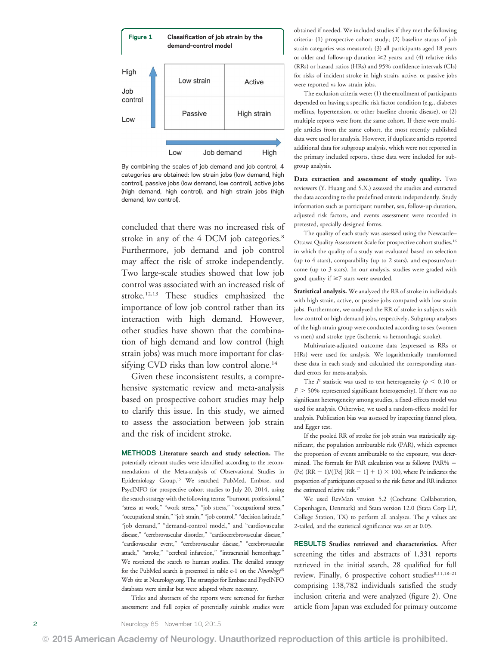

By combining the scales of job demand and job control, 4 categories are obtained: low strain jobs (low demand, high control), passive jobs (low demand, low control), active jobs (high demand, high control), and high strain jobs (high demand, low control).

concluded that there was no increased risk of stroke in any of the 4 DCM job categories.<sup>8</sup> Furthermore, job demand and job control may affect the risk of stroke independently. Two large-scale studies showed that low job control was associated with an increased risk of stroke.12,13 These studies emphasized the importance of low job control rather than its interaction with high demand. However, other studies have shown that the combination of high demand and low control (high strain jobs) was much more important for classifying CVD risks than low control alone.<sup>14</sup>

Given these inconsistent results, a comprehensive systematic review and meta-analysis based on prospective cohort studies may help to clarify this issue. In this study, we aimed to assess the association between job strain and the risk of incident stroke.

METHODS Literature search and study selection. The potentially relevant studies were identified according to the recommendations of the Meta-analysis of Observational Studies in Epidemiology Group.15 We searched PubMed, Embase, and PsycINFO for prospective cohort studies to July 20, 2014, using the search strategy with the following terms:"burnout, professional," "stress at work," "work stress," "job stress," "occupational stress," "occupational strain," "job strain," "job control," "decision latitude," "job demand," "demand-control model," and "cardiovascular disease," "cerebrovascular disorder," "cardiocerebrovascular disease," "cardiovascular event," "cerebrovascular disease," "cerebrovascular attack," "stroke," "cerebral infarction," "intracranial hemorrhage." We restricted the search to human studies. The detailed strategy for the PubMed search is presented in table e-1 on the Neurology® Web site at [Neurology.org.](http://neurology.org/lookup/doi/10.1212/WNL.0000000000002098) The strategies for Embase and PsycINFO databases were similar but were adapted where necessary.

Titles and abstracts of the reports were screened for further assessment and full copies of potentially suitable studies were obtained if needed. We included studies if they met the following criteria: (1) prospective cohort study; (2) baseline status of job strain categories was measured; (3) all participants aged 18 years or older and follow-up duration  $\geq$ 2 years; and (4) relative risks (RRs) or hazard ratios (HRs) and 95% confidence intervals (CIs) for risks of incident stroke in high strain, active, or passive jobs were reported vs low strain jobs.

The exclusion criteria were: (1) the enrollment of participants depended on having a specific risk factor condition (e.g., diabetes mellitus, hypertension, or other baseline chronic disease), or (2) multiple reports were from the same cohort. If there were multiple articles from the same cohort, the most recently published data were used for analysis. However, if duplicate articles reported additional data for subgroup analysis, which were not reported in the primary included reports, these data were included for subgroup analysis.

Data extraction and assessment of study quality. Two reviewers (Y. Huang and S.X.) assessed the studies and extracted the data according to the predefined criteria independently. Study information such as participant number, sex, follow-up duration, adjusted risk factors, and events assessment were recorded in pretested, specially designed forms.

The quality of each study was assessed using the Newcastle– Ottawa Quality Assessment Scale for prospective cohort studies,<sup>16</sup> in which the quality of a study was evaluated based on selection (up to 4 stars), comparability (up to 2 stars), and exposure/outcome (up to 3 stars). In our analysis, studies were graded with good quality if  $\geq$ 7 stars were awarded.

Statistical analysis. We analyzed the RR of stroke in individuals with high strain, active, or passive jobs compared with low strain jobs. Furthermore, we analyzed the RR of stroke in subjects with low control or high demand jobs, respectively. Subgroup analyses of the high strain group were conducted according to sex (women vs men) and stroke type (ischemic vs hemorrhagic stroke).

Multivariate-adjusted outcome data (expressed as RRs or HRs) were used for analysis. We logarithmically transformed these data in each study and calculated the corresponding standard errors for meta-analysis.

The  $I^2$  statistic was used to test heterogeneity ( $p < 0.10$  or  $I^2$  > 50% represented significant heterogeneity). If there was no significant heterogeneity among studies, a fixed-effects model was used for analysis. Otherwise, we used a random-effects model for analysis. Publication bias was assessed by inspecting funnel plots, and Egger test.

If the pooled RR of stroke for job strain was statistically significant, the population attributable risk (PAR), which expresses the proportion of events attributable to the exposure, was determined. The formula for PAR calculation was as follows:  $PAR% =$ (Pe) (RR - 1)/([Pe] [RR - 1] + 1)  $\times$  100, where Pe indicates the proportion of participants exposed to the risk factor and RR indicates the estimated relative risk.17

We used RevMan version 5.2 (Cochrane Collaboration, Copenhagen, Denmark) and Stata version 12.0 (Stata Corp LP, College Station, TX) to perform all analyses. The  $p$  values are 2-tailed, and the statistical significance was set at 0.05.

RESULTS Studies retrieved and characteristics. After screening the titles and abstracts of 1,331 reports retrieved in the initial search, 28 qualified for full review. Finally, 6 prospective cohort studies<sup>8,11,18-21</sup> comprising 138,782 individuals satisfied the study inclusion criteria and were analyzed (figure 2). One article from Japan was excluded for primary outcome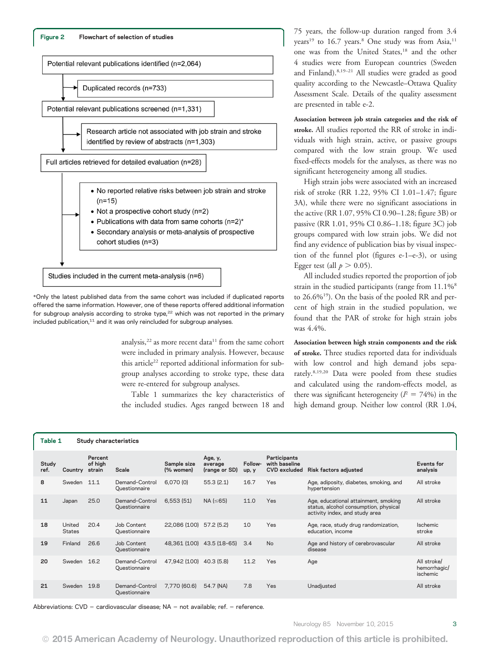

\*Only the latest published data from the same cohort was included if duplicated reports offered the same information. However, one of these reports offered additional information for subgroup analysis according to stroke type,<sup>22</sup> which was not reported in the primary included publication,<sup>11</sup> and it was only reincluded for subgroup analyses.

> analysis,<sup>22</sup> as more recent data<sup>11</sup> from the same cohort were included in primary analysis. However, because this article<sup>22</sup> reported additional information for subgroup analyses according to stroke type, these data were re-entered for subgroup analyses.

> Table 1 summarizes the key characteristics of the included studies. Ages ranged between 18 and

75 years, the follow-up duration ranged from 3.4 years<sup>19</sup> to 16.7 years.<sup>8</sup> One study was from Asia,<sup>11</sup> one was from the United States,<sup>18</sup> and the other 4 studies were from European countries (Sweden and Finland).8,19–<sup>21</sup> All studies were graded as good quality according to the Newcastle–Ottawa Quality Assessment Scale. Details of the quality assessment are presented in table e-2.

Association between job strain categories and the risk of stroke. All studies reported the RR of stroke in individuals with high strain, active, or passive groups compared with the low strain group. We used fixed-effects models for the analyses, as there was no significant heterogeneity among all studies.

High strain jobs were associated with an increased risk of stroke (RR 1.22, 95% CI 1.01–1.47; figure 3A), while there were no significant associations in the active (RR 1.07, 95% CI 0.90–1.28; figure 3B) or passive (RR 1.01, 95% CI 0.86–1.18; figure 3C) job groups compared with low strain jobs. We did not find any evidence of publication bias by visual inspection of the funnel plot (figures e-1–e-3), or using Egger test (all  $p > 0.05$ ).

All included studies reported the proportion of job strain in the studied participants (range from 11.1%<sup>8</sup> to 26.6%19). On the basis of the pooled RR and percent of high strain in the studied population, we found that the PAR of stroke for high strain jobs was 4.4%.

Association between high strain components and the risk of stroke. Three studies reported data for individuals with low control and high demand jobs separately.8,19,20 Data were pooled from these studies and calculated using the random-effects model, as there was significant heterogeneity ( $I^2 = 74\%$ ) in the high demand group. Neither low control (RR 1.04,

| Table 1<br>Study characteristics |                         |                              |                                 |                          |                                     |                  |                                                      |                                                                                                                 |                                         |
|----------------------------------|-------------------------|------------------------------|---------------------------------|--------------------------|-------------------------------------|------------------|------------------------------------------------------|-----------------------------------------------------------------------------------------------------------------|-----------------------------------------|
| Study<br>ref.                    | Country                 | Percent<br>of high<br>strain | Scale                           | Sample size<br>(% women) | Age, y,<br>average<br>(range or SD) | Follow-<br>up, y | Participants<br>with baseline<br><b>CVD</b> excluded | Risk factors adjusted                                                                                           | <b>Events</b> for<br>analysis           |
| 8                                | Sweden 11.1             |                              | Demand-Control<br>Questionnaire | 6.070 (0)                | 55.3(2.1)                           | 16.7             | Yes                                                  | Age, adiposity, diabetes, smoking, and<br>hypertension                                                          | All stroke                              |
| 11                               | Japan                   | 25.0                         | Demand-Control<br>Questionnaire | 6,553(51)                | NA ( $\leq 65$ )                    | 11.0             | Yes                                                  | Age, educational attainment, smoking<br>status, alcohol consumption, physical<br>activity index, and study area | All stroke                              |
| 18                               | United<br><b>States</b> | 20.4                         | Job Content<br>Questionnaire    | 22,086 (100)             | 57.2(5.2)                           | 10               | Yes                                                  | Age, race, study drug randomization,<br>education, income                                                       | <b>Ischemic</b><br>stroke               |
| 19                               | Finland                 | 26.6                         | Job Content<br>Questionnaire    |                          | 48.361 (100) 43.5 (18-65)           | 3.4              | <b>No</b>                                            | Age and history of cerebrovascular<br>disease                                                                   | All stroke                              |
| 20                               | Sweden 16.2             |                              | Demand-Control<br>Questionnaire | 47,942 (100) 40.3 (5.8)  |                                     | 11.2             | Yes                                                  | Age                                                                                                             | All stroke/<br>hemorrhagic/<br>ischemic |
| 21                               | Sweden                  | 19.8                         | Demand-Control<br>Questionnaire | 7,770 (60.6)             | 54.7 (NA)                           | 7.8              | Yes                                                  | Unadjusted                                                                                                      | All stroke                              |

Abbreviations:  $CVD =$  cardiovascular disease;  $NA =$  not available; ref. = reference.

 $\circledcirc$  2015 American Academy of Neurology. Unauthorized reproduction of this article is prohibited.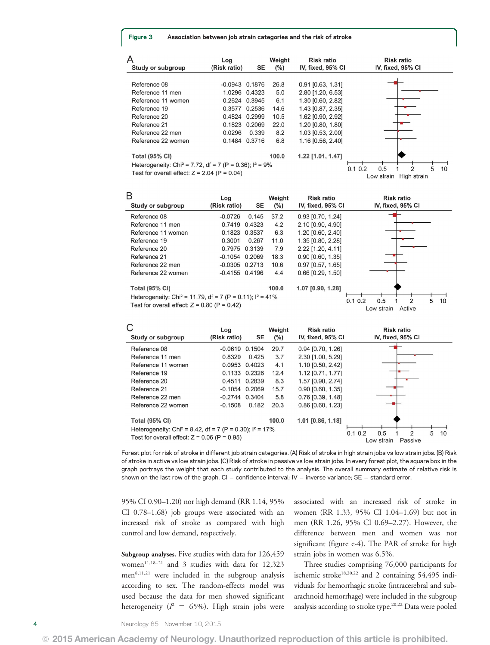Figure 3 Association between job strain categories and the risk of stroke

| А                                                                                                            | Log              |               | Weight | <b>Risk ratio</b>   | <b>Risk ratio</b> |  |  |  |
|--------------------------------------------------------------------------------------------------------------|------------------|---------------|--------|---------------------|-------------------|--|--|--|
| Study or subgroup                                                                                            | (Risk ratio)     | <b>SE</b>     | (%)    | IV, fixed, 95% CI   | IV, fixed, 95% CI |  |  |  |
|                                                                                                              |                  |               |        |                     |                   |  |  |  |
| Reference 08                                                                                                 | $-0.0943$ 0.1876 |               | 26.8   | $0.91$ [0.63, 1.31] |                   |  |  |  |
| Reference 11 men                                                                                             |                  | 1.0296 0.4323 | 5.0    | 2.80 [1.20, 6.53]   |                   |  |  |  |
| Reference 11 women                                                                                           | 0.2624 0.3945    |               | 6.1    | 1.30 [0.60, 2.82]   |                   |  |  |  |
| Reference 19                                                                                                 | 0.3577 0.2536    |               | 14.6   | 1.43 [0.87, 2.35]   |                   |  |  |  |
| Reference 20                                                                                                 | 0.4824 0.2999    |               | 10.5   | 1.62 [0.90, 2.92]   |                   |  |  |  |
| Reference 21                                                                                                 | 0.1823 0.2069    |               | 22.0   | 1.20 [0.80, 1.80]   |                   |  |  |  |
| Reference 22 men                                                                                             | 0.0296           | 0.339         | 8.2    | 1.03 [0.53, 2.00]   |                   |  |  |  |
| Reference 22 women                                                                                           | 0.1484 0.3716    |               | 6.8    | 1.16 [0.56, 2.40]   |                   |  |  |  |
|                                                                                                              |                  |               |        |                     |                   |  |  |  |
| <b>Total (95% CI)</b>                                                                                        |                  |               | 100.0  | 1.22 [1.01, 1.47]   |                   |  |  |  |
| Heterogeneity: Chi <sup>2</sup> = 7.72, df = 7 (P = 0.36); $I^2 = 9\%$                                       |                  |               |        |                     |                   |  |  |  |
| 0.1 0.2<br>5<br>0.5<br>10<br>2<br>Test for overall effect: $Z = 2.04$ (P = 0.04)<br>High strain<br>ow strain |                  |               |        |                     |                   |  |  |  |
|                                                                                                              |                  |               |        |                     |                   |  |  |  |

| B                                                                        | Log                |               | Weight | <b>Risk ratio</b>   | <b>Risk ratio</b>        |  |
|--------------------------------------------------------------------------|--------------------|---------------|--------|---------------------|--------------------------|--|
| Study or subgroup                                                        | (Risk ratio)       | SE            | (%)    | IV, fixed, 95% CI   | IV, fixed, 95% CI        |  |
| Reference 08                                                             | $-0.0726$          | 0.145         | 37.2   | 0.93 [0.70, 1.24]   |                          |  |
| Reference 11 men                                                         |                    | 0.7419 0.4323 | 4.2    | 2.10 [0.90, 4.90]   |                          |  |
| Reference 11 women                                                       | 0.1823 0.3537      |               | 6.3    | 1.20 [0.60, 2.40]   |                          |  |
| Reference 19                                                             | 0.3001             | 0.267         | 11.0   | 1.35 [0.80, 2.28]   |                          |  |
| Reference 20                                                             | 0.7975 0.3139      |               | 7.9    | 2.22 [1.20, 4.11]   |                          |  |
| Reference 21                                                             | $-0.1054$ $0.2069$ |               | 18.3   | $0.90$ [0.60, 1.35] |                          |  |
| Reference 22 men                                                         | $-0.0305$ $0.2713$ |               | 10.6   | $0.97$ [0.57, 1.65] |                          |  |
| Reference 22 women                                                       | $-0.4155$ $0.4196$ |               | 4.4    | 0.66 [0.29, 1.50]   |                          |  |
| <b>Total (95% CI)</b>                                                    |                    |               | 100.0  | 1.07 [0.90, 1.28]   |                          |  |
| Heterogeneity: Chi <sup>2</sup> = 11.79, df = 7 (P = 0.11); $I^2 = 41\%$ |                    |               |        |                     | 0.1 0.2<br>5<br>0.5<br>2 |  |
| 10<br>Test for overall effect: $Z = 0.80$ (P = 0.42)                     |                    |               |        |                     |                          |  |
|                                                                          |                    |               |        |                     | Active<br>Low strain     |  |

| С<br>Study or subgroup                                                 | Log<br>(Risk ratio) | <b>SE</b> | Weight<br>(%) | <b>Risk ratio</b><br>IV. fixed, 95% CI | <b>Risk ratio</b><br>IV. fixed, 95% CI                  |
|------------------------------------------------------------------------|---------------------|-----------|---------------|----------------------------------------|---------------------------------------------------------|
| Reference 08                                                           | $-0.0619$ $0.1504$  |           | 29.7          | 0.94 [0.70, 1.26]                      |                                                         |
| Reference 11 men                                                       | 0.8329              | 0.425     | 3.7           | 2.30 [1.00, 5.29]                      |                                                         |
| Reference 11 women                                                     | 0.0953 0.4023       |           | 4.1           | 1.10 [0.50, 2.42]                      |                                                         |
| Reference 19                                                           | 0.1133 0.2326       |           | 12.4          | 1.12 [0.71, 1.77]                      |                                                         |
| Reference 20                                                           | 0.4511 0.2839       |           | 8.3           | 1.57 [0.90, 2.74]                      |                                                         |
| Reference 21                                                           | $-0.1054$ $0.2069$  |           | 15.7          | 0.90 [0.60, 1.35]                      |                                                         |
| Reference 22 men                                                       | $-0.2744$ 0.3404    |           | 5.8           | 0.76 [0.39, 1.48]                      |                                                         |
| Reference 22 women                                                     | $-0.1508$           | 0.182     | 20.3          | 0.86 [0.60, 1.23]                      |                                                         |
| <b>Total (95% CI)</b>                                                  |                     |           | 100.0         | 1.01 [0.86, 1.18]                      |                                                         |
| Heterogeneity: Chi <sup>2</sup> = 8.42, df = 7 (P = 0.30); $I^2$ = 17% |                     |           |               |                                        |                                                         |
| Test for overall effect: $Z = 0.06$ (P = 0.95)                         |                     |           |               |                                        | 0.1 0.2<br>5<br>0.5<br>10<br>2<br>Low strain<br>Passive |

Forest plot for risk of stroke in different job strain categories. (A) Risk of stroke in high strain jobs vs low strain jobs. (B) Risk of stroke in active vs low strain jobs. (C) Risk of stroke in passive vs low strain jobs. In every forest plot, the square box in the graph portrays the weight that each study contributed to the analysis. The overall summary estimate of relative risk is shown on the last row of the graph. CI = confidence interval; IV = inverse variance;  $SE =$  standard error.

95% CI 0.90–1.20) nor high demand (RR 1.14, 95% CI 0.78–1.68) job groups were associated with an increased risk of stroke as compared with high control and low demand, respectively.

Subgroup analyses. Five studies with data for 126,459 women<sup>11,18-21</sup> and 3 studies with data for 12,323 men8,11,21 were included in the subgroup analysis according to sex. The random-effects model was used because the data for men showed significant heterogeneity ( $l^2 = 65\%$ ). High strain jobs were

associated with an increased risk of stroke in women (RR 1.33, 95% CI 1.04–1.69) but not in men (RR 1.26, 95% CI 0.69–2.27). However, the difference between men and women was not significant (figure e-4). The PAR of stroke for high strain jobs in women was 6.5%.

Three studies comprising 76,000 participants for ischemic stroke<sup>18,20,22</sup> and 2 containing 54,495 individuals for hemorrhagic stroke (intracerebral and subarachnoid hemorrhage) were included in the subgroup analysis according to stroke type.<sup>20,22</sup> Data were pooled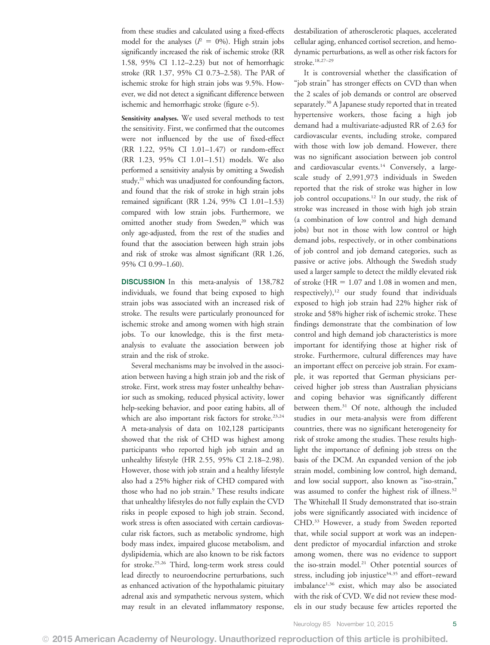from these studies and calculated using a fixed-effects model for the analyses ( $I^2 = 0\%$ ). High strain jobs significantly increased the risk of ischemic stroke (RR 1.58, 95% CI 1.12–2.23) but not of hemorrhagic stroke (RR 1.37, 95% CI 0.73–2.58). The PAR of ischemic stroke for high strain jobs was 9.5%. However, we did not detect a significant difference between ischemic and hemorrhagic stroke (figure e-5).

Sensitivity analyses. We used several methods to test the sensitivity. First, we confirmed that the outcomes were not influenced by the use of fixed-effect (RR 1.22, 95% CI 1.01–1.47) or random-effect (RR 1.23, 95% CI 1.01–1.51) models. We also performed a sensitivity analysis by omitting a Swedish study,<sup>21</sup> which was unadjusted for confounding factors, and found that the risk of stroke in high strain jobs remained significant (RR 1.24, 95% CI 1.01–1.53) compared with low strain jobs. Furthermore, we omitted another study from Sweden,<sup>20</sup> which was only age-adjusted, from the rest of the studies and found that the association between high strain jobs and risk of stroke was almost significant (RR 1.26, 95% CI 0.99–1.60).

DISCUSSION In this meta-analysis of 138,782 individuals, we found that being exposed to high strain jobs was associated with an increased risk of stroke. The results were particularly pronounced for ischemic stroke and among women with high strain jobs. To our knowledge, this is the first metaanalysis to evaluate the association between job strain and the risk of stroke.

Several mechanisms may be involved in the association between having a high strain job and the risk of stroke. First, work stress may foster unhealthy behavior such as smoking, reduced physical activity, lower help-seeking behavior, and poor eating habits, all of which are also important risk factors for stroke.<sup>23,24</sup> A meta-analysis of data on 102,128 participants showed that the risk of CHD was highest among participants who reported high job strain and an unhealthy lifestyle (HR 2.55, 95% CI 2.18–2.98). However, those with job strain and a healthy lifestyle also had a 25% higher risk of CHD compared with those who had no job strain.<sup>9</sup> These results indicate that unhealthy lifestyles do not fully explain the CVD risks in people exposed to high job strain. Second, work stress is often associated with certain cardiovascular risk factors, such as metabolic syndrome, high body mass index, impaired glucose metabolism, and dyslipidemia, which are also known to be risk factors for stroke.25,26 Third, long-term work stress could lead directly to neuroendocrine perturbations, such as enhanced activation of the hypothalamic pituitary adrenal axis and sympathetic nervous system, which may result in an elevated inflammatory response,

destabilization of atherosclerotic plaques, accelerated cellular aging, enhanced cortisol secretion, and hemodynamic perturbations, as well as other risk factors for stroke.18,27–<sup>29</sup>

It is controversial whether the classification of "job strain" has stronger effects on CVD than when the 2 scales of job demands or control are observed separately.<sup>30</sup> A Japanese study reported that in treated hypertensive workers, those facing a high job demand had a multivariate-adjusted RR of 2.63 for cardiovascular events, including stroke, compared with those with low job demand. However, there was no significant association between job control and cardiovascular events.<sup>14</sup> Conversely, a largescale study of 2,991,973 individuals in Sweden reported that the risk of stroke was higher in low job control occupations.12 In our study, the risk of stroke was increased in those with high job strain (a combination of low control and high demand jobs) but not in those with low control or high demand jobs, respectively, or in other combinations of job control and job demand categories, such as passive or active jobs. Although the Swedish study used a larger sample to detect the mildly elevated risk of stroke ( $HR = 1.07$  and 1.08 in women and men, respectively),<sup>12</sup> our study found that individuals exposed to high job strain had 22% higher risk of stroke and 58% higher risk of ischemic stroke. These findings demonstrate that the combination of low control and high demand job characteristics is more important for identifying those at higher risk of stroke. Furthermore, cultural differences may have an important effect on perceive job strain. For example, it was reported that German physicians perceived higher job stress than Australian physicians and coping behavior was significantly different between them.31 Of note, although the included studies in our meta-analysis were from different countries, there was no significant heterogeneity for risk of stroke among the studies. These results highlight the importance of defining job stress on the basis of the DCM. An expanded version of the job strain model, combining low control, high demand, and low social support, also known as "iso-strain," was assumed to confer the highest risk of illness.<sup>32</sup> The Whitehall II Study demonstrated that iso-strain jobs were significantly associated with incidence of CHD.33 However, a study from Sweden reported that, while social support at work was an independent predictor of myocardial infarction and stroke among women, there was no evidence to support the iso-strain model.<sup>21</sup> Other potential sources of stress, including job injustice $34,35$  and effort–reward imbalance<sup>1,36</sup> exist, which may also be associated with the risk of CVD. We did not review these models in our study because few articles reported the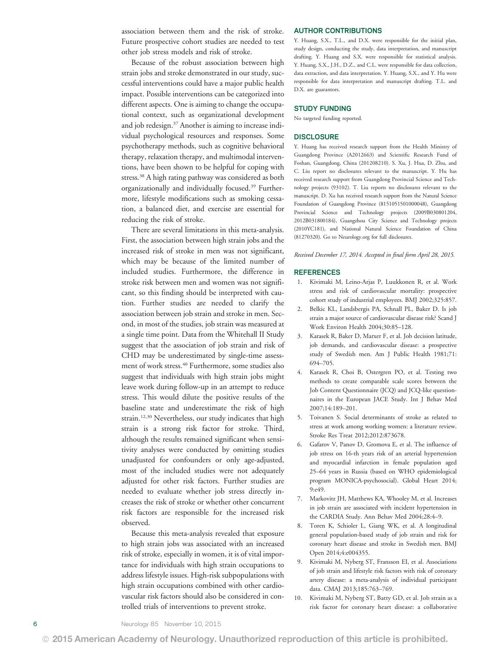association between them and the risk of stroke. Future prospective cohort studies are needed to test other job stress models and risk of stroke.

Because of the robust association between high strain jobs and stroke demonstrated in our study, successful interventions could have a major public health impact. Possible interventions can be categorized into different aspects. One is aiming to change the occupational context, such as organizational development and job redesign.37 Another is aiming to increase individual psychological resources and responses. Some psychotherapy methods, such as cognitive behavioral therapy, relaxation therapy, and multimodal interventions, have been shown to be helpful for coping with stress.<sup>38</sup> A high rating pathway was considered as both organizationally and individually focused.39 Furthermore, lifestyle modifications such as smoking cessation, a balanced diet, and exercise are essential for reducing the risk of stroke.

There are several limitations in this meta-analysis. First, the association between high strain jobs and the increased risk of stroke in men was not significant, which may be because of the limited number of included studies. Furthermore, the difference in stroke risk between men and women was not significant, so this finding should be interpreted with caution. Further studies are needed to clarify the association between job strain and stroke in men. Second, in most of the studies, job strain was measured at a single time point. Data from the Whitehall II Study suggest that the association of job strain and risk of CHD may be underestimated by single-time assessment of work stress.40 Furthermore, some studies also suggest that individuals with high strain jobs might leave work during follow-up in an attempt to reduce stress. This would dilute the positive results of the baseline state and underestimate the risk of high strain.<sup>12,30</sup> Nevertheless, our study indicates that high strain is a strong risk factor for stroke. Third, although the results remained significant when sensitivity analyses were conducted by omitting studies unadjusted for confounders or only age-adjusted, most of the included studies were not adequately adjusted for other risk factors. Further studies are needed to evaluate whether job stress directly increases the risk of stroke or whether other concurrent risk factors are responsible for the increased risk observed.

Because this meta-analysis revealed that exposure to high strain jobs was associated with an increased risk of stroke, especially in women, it is of vital importance for individuals with high strain occupations to address lifestyle issues. High-risk subpopulations with high strain occupations combined with other cardiovascular risk factors should also be considered in controlled trials of interventions to prevent stroke.

## AUTHOR CONTRIBUTIONS

Y. Huang, S.X., T.L., and D.X. were responsible for the initial plan, study design, conducting the study, data interpretation, and manuscript drafting. Y. Huang and S.X. were responsible for statistical analysis. Y. Huang, S.X., J.H., D.Z., and C.L. were responsible for data collection, data extraction, and data interpretation. Y. Huang, S.X., and Y. Hu were responsible for data interpretation and manuscript drafting. T.L. and D.X. are guarantors.

#### STUDY FUNDING

No targeted funding reported.

### **DISCLOSURE**

Y. Huang has received research support from the Health Ministry of Guangdong Province (A2012663) and Scientific Research Fund of Foshan, Guangdong, China (201208210). S. Xu, J. Hua, D. Zhu, and C. Liu report no disclosures relevant to the manuscript. Y. Hu has received research support from Guangdong Provincial Science and Technology projects (93102). T. Liu reports no disclosures relevant to the manuscript. D. Xu has received research support from the Natural Science Foundation of Guangdong Province (8151051501000048), Guangdong Provincial Science and Technology projects (2009B030801204, 2012B031800184), Guangzhou City Science and Technology projects (2010YC181), and National Natural Science Foundation of China (81270320). Go to [Neurology.org](http://neurology.org/lookup/doi/10.1212/WNL.0000000000002098) for full disclosures.

Received December 17, 2014. Accepted in final form April 28, 2015.

#### REFERENCES

- 1. Kivimaki M, Leino-Arjas P, Luukkonen R, et al. Work stress and risk of cardiovascular mortality: prospective cohort study of industrial employees. BMJ 2002;325:857.
- 2. Belkic KL, Landsbergis PA, Schnall PL, Baker D. Is job strain a major source of cardiovascular disease risk? Scand J Work Environ Health 2004;30:85–128.
- 3. Karasek R, Baker D, Marxer F, et al. Job decision latitude, job demands, and cardiovascular disease: a prospective study of Swedish men. Am J Public Health 1981;71: 694–705.
- 4. Karasek R, Choi B, Ostergren PO, et al. Testing two methods to create comparable scale scores between the Job Content Questionnaire (JCQ) and JCQ-like questionnaires in the European JACE Study. Int J Behav Med 2007;14:189–201.
- 5. Toivanen S. Social determinants of stroke as related to stress at work among working women: a literature review. Stroke Res Treat 2012;2012:873678.
- 6. Gafarov V, Panov D, Gromova E, et al. The influence of job stress on 16-th years risk of an arterial hypertension and myocardial infarction in female population aged 25–64 years in Russia (based on WHO epidemiological program MONICA-psychosocial). Global Heart 2014; 9:e49.
- 7. Markovitz JH, Matthews KA, Whooley M, et al. Increases in job strain are associated with incident hypertension in the CARDIA Study. Ann Behav Med 2004;28:4–9.
- 8. Toren K, Schioler L, Giang WK, et al. A longitudinal general population-based study of job strain and risk for coronary heart disease and stroke in Swedish men. BMJ Open 2014;4:e004355.
- 9. Kivimaki M, Nyberg ST, Fransson EI, et al. Associations of job strain and lifestyle risk factors with risk of coronary artery disease: a meta-analysis of individual participant data. CMAJ 2013;185:763–769.
- 10. Kivimaki M, Nyberg ST, Batty GD, et al. Job strain as a risk factor for coronary heart disease: a collaborative